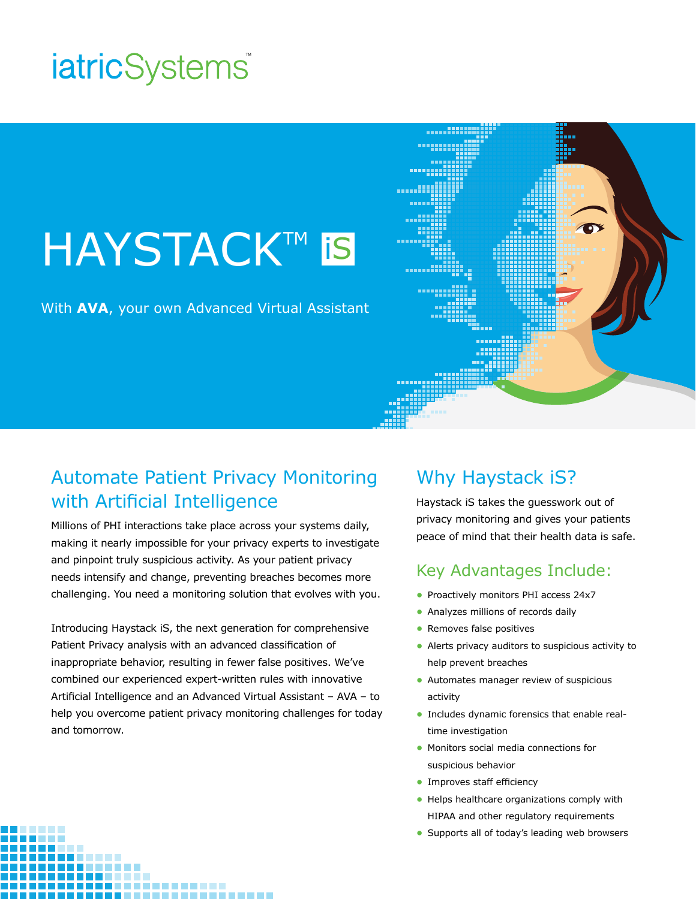# *iatricSystems*

# **HAYSTACK™ is**

With **AVA**, your own Advanced Virtual Assistant



Millions of PHI interactions take place across your systems daily, making it nearly impossible for your privacy experts to investigate and pinpoint truly suspicious activity. As your patient privacy needs intensify and change, preventing breaches becomes more challenging. You need a monitoring solution that evolves with you.

Introducing Haystack iS, the next generation for comprehensive Patient Privacy analysis with an advanced classification of inappropriate behavior, resulting in fewer false positives. We've combined our experienced expert-written rules with innovative Artificial Intelligence and an Advanced Virtual Assistant – AVA – to help you overcome patient privacy monitoring challenges for today and tomorrow.

### Why Haystack iS?

Haystack iS takes the guesswork out of privacy monitoring and gives your patients peace of mind that their health data is safe.

#### Key Advantages Include:

- **•** Proactively monitors PHI access 24x7
- **•** Analyzes millions of records daily
- **•** Removes false positives
- **•** Alerts privacy auditors to suspicious activity to help prevent breaches
- **•** Automates manager review of suspicious activity
- **•** Includes dynamic forensics that enable realtime investigation
- **•** Monitors social media connections for suspicious behavior
- **•** Improves staff efficiency
- **•** Helps healthcare organizations comply with HIPAA and other regulatory requirements
- **•** Supports all of today's leading web browsers